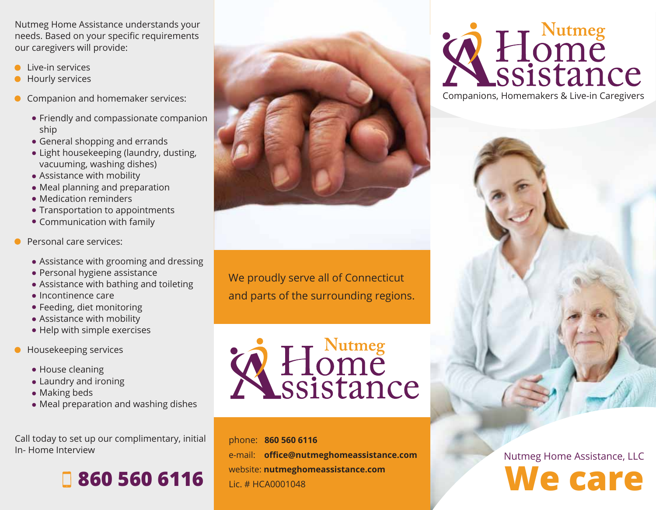Nutmeg Home Assistance understands your needs. Based on your specific requirements our caregivers will provide:

- Live-in services
- Hourly services
- Companion and homemaker services:
	- Friendly and compassionate companion ship
	- General shopping and errands
	- Light housekeeping (laundry, dusting, vacuuming, washing dishes)
	- Assistance with mobility
	- Meal planning and preparation
	- Medication reminders
	- Transportation to appointments
	- Communication with family
- Personal care services:
	- Assistance with grooming and dressing
	- Personal hygiene assistance
	- Assistance with bathing and toileting
	- $\bullet$  Incontinence care
	- Feeding, diet monitoring
	- Assistance with mobility
	- Help with simple exercises
- Housekeeping services
	- House cleaning
	- Laundry and ironing
	- Making beds
	- Meal preparation and washing dishes

Call today to set up our complimentary, initial In- Home Interview





We proudly serve all of Connecticut and parts of the surrounding regions.

A Home<br>Sistance

phone: **860 560 6116** e-mail: **office@nutmeghomeassistance.com** website: **nutmeghomeassistance.com** Lic. # HCA0001048



Companions, Homemakers & Live-in Caregivers



Nutmeg Home Assistance, LLC **We care**